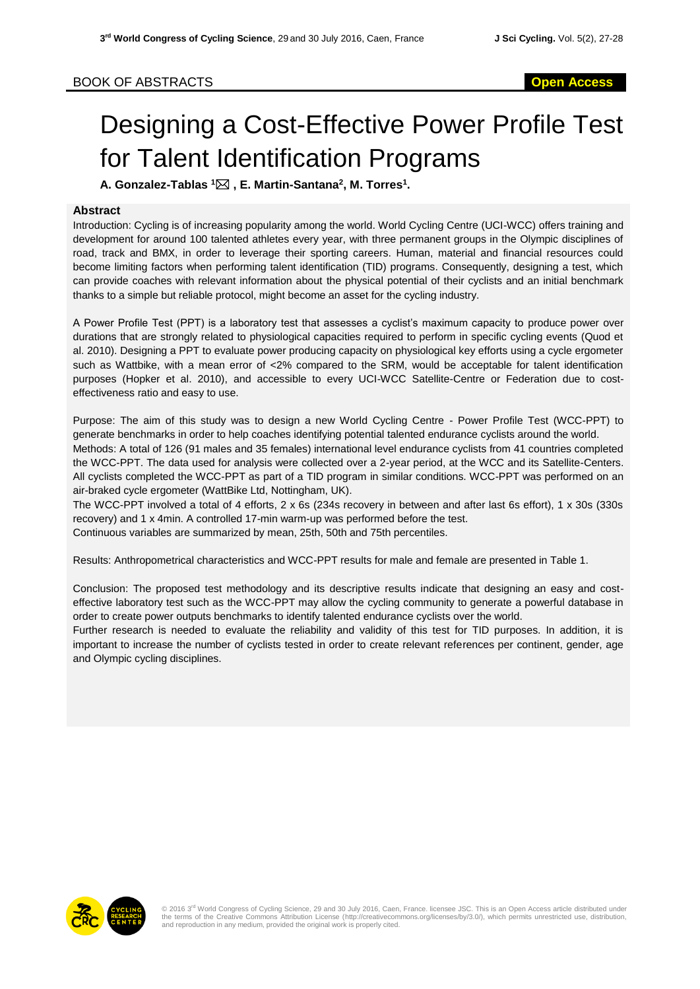## BOOK OF ABSTRACTS **Open Access**

## Designing a Cost-Effective Power Profile Test for Talent Identification Programs

**A. Gonzalez-Tablas <sup>1</sup> , E. Martin-Santana<sup>2</sup> , M. Torres<sup>1</sup> .**

## **Abstract**

Introduction: Cycling is of increasing popularity among the world. World Cycling Centre (UCI-WCC) offers training and development for around 100 talented athletes every year, with three permanent groups in the Olympic disciplines of road, track and BMX, in order to leverage their sporting careers. Human, material and financial resources could become limiting factors when performing talent identification (TID) programs. Consequently, designing a test, which can provide coaches with relevant information about the physical potential of their cyclists and an initial benchmark thanks to a simple but reliable protocol, might become an asset for the cycling industry.

A Power Profile Test (PPT) is a laboratory test that assesses a cyclist's maximum capacity to produce power over durations that are strongly related to physiological capacities required to perform in specific cycling events (Quod et al. 2010). Designing a PPT to evaluate power producing capacity on physiological key efforts using a cycle ergometer such as Wattbike, with a mean error of <2% compared to the SRM, would be acceptable for talent identification purposes (Hopker et al. 2010), and accessible to every UCI-WCC Satellite-Centre or Federation due to costeffectiveness ratio and easy to use.

Purpose: The aim of this study was to design a new World Cycling Centre - Power Profile Test (WCC-PPT) to generate benchmarks in order to help coaches identifying potential talented endurance cyclists around the world. Methods: A total of 126 (91 males and 35 females) international level endurance cyclists from 41 countries completed the WCC-PPT. The data used for analysis were collected over a 2-year period, at the WCC and its Satellite-Centers. All cyclists completed the WCC-PPT as part of a TID program in similar conditions. WCC-PPT was performed on an air-braked cycle ergometer (WattBike Ltd, Nottingham, UK).

The WCC-PPT involved a total of 4 efforts, 2 x 6s (234s recovery in between and after last 6s effort), 1 x 30s (330s recovery) and 1 x 4min. A controlled 17-min warm-up was performed before the test.

Continuous variables are summarized by mean, 25th, 50th and 75th percentiles.

Results: Anthropometrical characteristics and WCC-PPT results for male and female are presented in Table 1.

Conclusion: The proposed test methodology and its descriptive results indicate that designing an easy and costeffective laboratory test such as the WCC-PPT may allow the cycling community to generate a powerful database in order to create power outputs benchmarks to identify talented endurance cyclists over the world.

Further research is needed to evaluate the reliability and validity of this test for TID purposes. In addition, it is important to increase the number of cyclists tested in order to create relevant references per continent, gender, age and Olympic cycling disciplines.



© 2016 3<sup>rd</sup> World Congress of Cycling Science, 29 and 30 July 2016, Caen, France. licensee JSC. This is an Open Access article distributed under<br>the terms of the Creative Commons Attribution License (http://creativecommon and reproduction in any medium, provided the original work is properly cited.